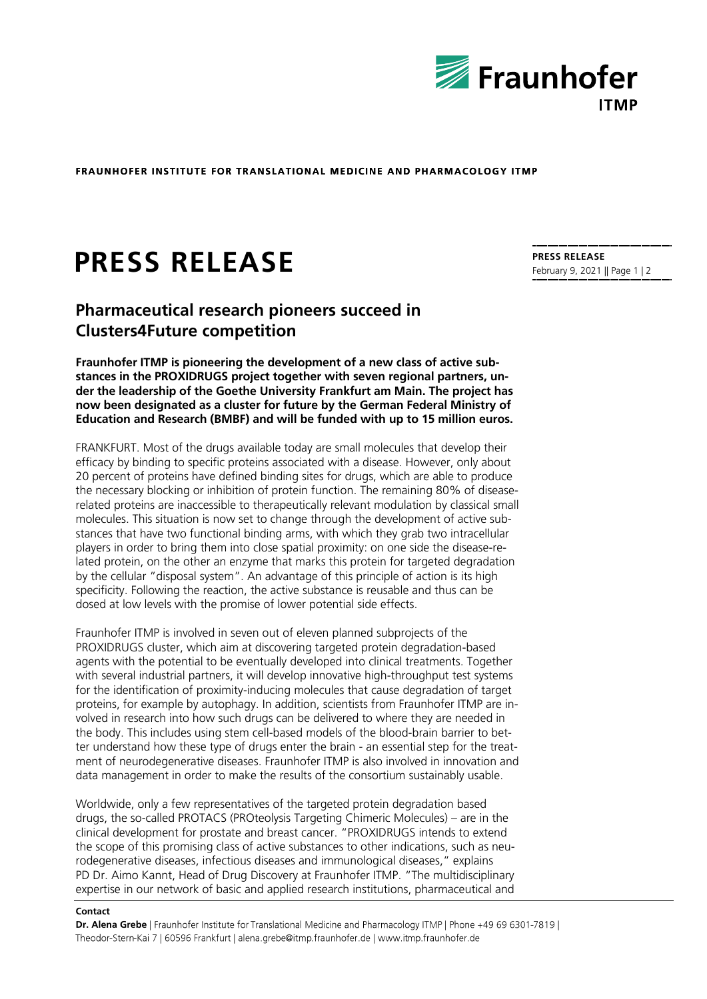

**FRAUNHOFER INSTITUTE FOR TRANSLATIONAL MEDICINE AND PHARMACOLOGY ITMP** 

# **PRESS RELEASE**

# **Pharmaceutical research pioneers succeed in Clusters4Future competition**

**Fraunhofer ITMP is pioneering the development of a new class of active substances in the PROXIDRUGS project together with seven regional partners, under the leadership of the Goethe University Frankfurt am Main. The project has now been designated as a cluster for future by the German Federal Ministry of Education and Research (BMBF) and will be funded with up to 15 million euros.**

FRANKFURT. Most of the drugs available today are small molecules that develop their efficacy by binding to specific proteins associated with a disease. However, only about 20 percent of proteins have defined binding sites for drugs, which are able to produce the necessary blocking or inhibition of protein function. The remaining 80% of diseaserelated proteins are inaccessible to therapeutically relevant modulation by classical small molecules. This situation is now set to change through the development of active substances that have two functional binding arms, with which they grab two intracellular players in order to bring them into close spatial proximity: on one side the disease-related protein, on the other an enzyme that marks this protein for targeted degradation by the cellular "disposal system". An advantage of this principle of action is its high specificity. Following the reaction, the active substance is reusable and thus can be dosed at low levels with the promise of lower potential side effects.

Fraunhofer ITMP is involved in seven out of eleven planned subprojects of the PROXIDRUGS cluster, which aim at discovering targeted protein degradation-based agents with the potential to be eventually developed into clinical treatments. Together with several industrial partners, it will develop innovative high-throughput test systems for the identification of proximity-inducing molecules that cause degradation of target proteins, for example by autophagy. In addition, scientists from Fraunhofer ITMP are involved in research into how such drugs can be delivered to where they are needed in the body. This includes using stem cell-based models of the blood-brain barrier to better understand how these type of drugs enter the brain - an essential step for the treatment of neurodegenerative diseases. Fraunhofer ITMP is also involved in innovation and data management in order to make the results of the consortium sustainably usable.

Worldwide, only a few representatives of the targeted protein degradation based drugs, the so-called PROTACS (PROteolysis Targeting Chimeric Molecules) – are in the clinical development for prostate and breast cancer. "PROXIDRUGS intends to extend the scope of this promising class of active substances to other indications, such as neurodegenerative diseases, infectious diseases and immunological diseases," explains PD Dr. Aimo Kannt, Head of Drug Discovery at Fraunhofer ITMP. "The multidisciplinary expertise in our network of basic and applied research institutions, pharmaceutical and

#### **Contact**

**Dr. Alena Grebe**  Theodor-Stern-Kai 7 | 60596 Frankfurt | alena.grebe@itmp.fraunhofer.de | www.itmp.fraunhofer.de

**PRESS RELEASE** February 9, 2021 || Page 1 | 2